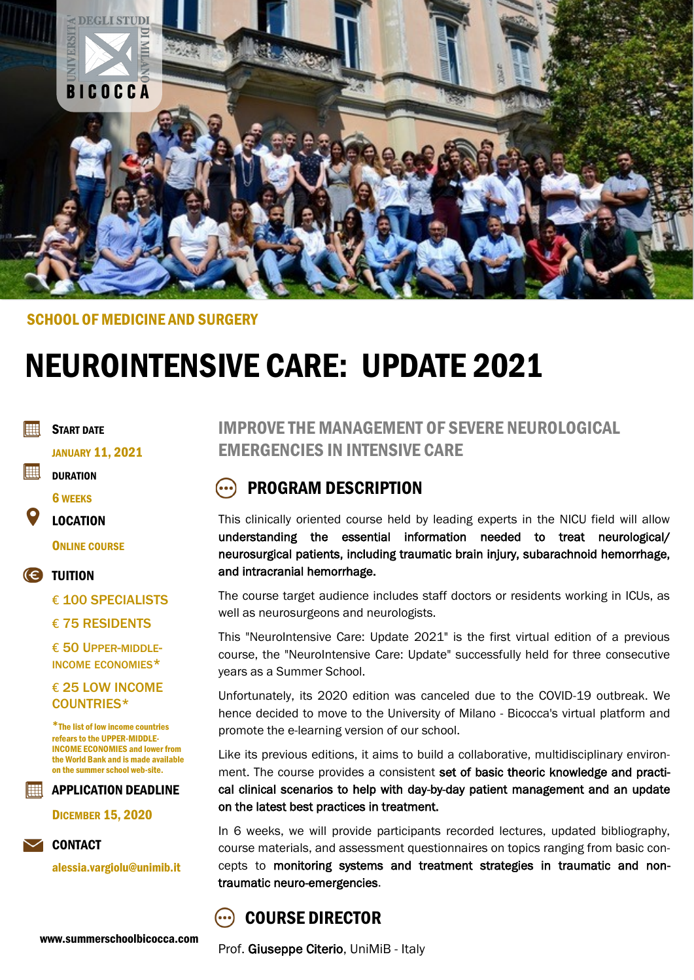

#### SCHOOL OF MEDICINE AND SURGERY

# NEUROINTENSIVE CARE: UPDATE 2021

**Fill** START DATE

JANUARY 11, 2021

**EEEI DURATION** 

6 WEEKS

LOCATION

**ONLINE COURSE** 

TUITION

€ 100 SPECIALISTS

€ 75 RESIDENTS

€ 50 UPPER-MIDDLE-INCOME ECONOMIES\*

#### € 25 LOW INCOME COUNTRIES\*

\*The list of low income countries refears to the UPPER-MIDDLE-INCOME ECONOMIES and lower from the World Bank and is made available on the summer school web-site.

EI APPLICATION DEADLINE

DICEMBER 15, 2020



alessia.vargiolu@unimib.it

### IMPROVE THE MANAGEMENT OF SEVERE NEUROLOGICAL EMERGENCIES IN INTENSIVE CARE

### PROGRAM DESCRIPTION

This clinically oriented course held by leading experts in the NICU field will allow understanding the essential information needed to treat neurological/ neurosurgical patients, including traumatic brain injury, subarachnoid hemorrhage, and intracranial hemorrhage.

The course target audience includes staff doctors or residents working in ICUs, as well as neurosurgeons and neurologists.

This "NeuroIntensive Care: Update 2021" is the first virtual edition of a previous course, the "NeuroIntensive Care: Update" successfully held for three consecutive years as a Summer School.

Unfortunately, its 2020 edition was canceled due to the COVID-19 outbreak. We hence decided to move to the University of Milano - Bicocca's virtual platform and promote the e-learning version of our school.

Like its previous editions, it aims to build a collaborative, multidisciplinary environment. The course provides a consistent set of basic theoric knowledge and practical clinical scenarios to help with day-by-day patient management and an update on the latest best practices in treatment.

In 6 weeks, we will provide participants recorded lectures, updated bibliography, course materials, and assessment questionnaires on topics ranging from basic concepts to monitoring systems and treatment strategies in traumatic and nontraumatic neuro-emergencies.

### COURSE DIRECTOR

Prof. Giuseppe Citerio, UniMiB - Italy

www.summerschoolbicocca.com